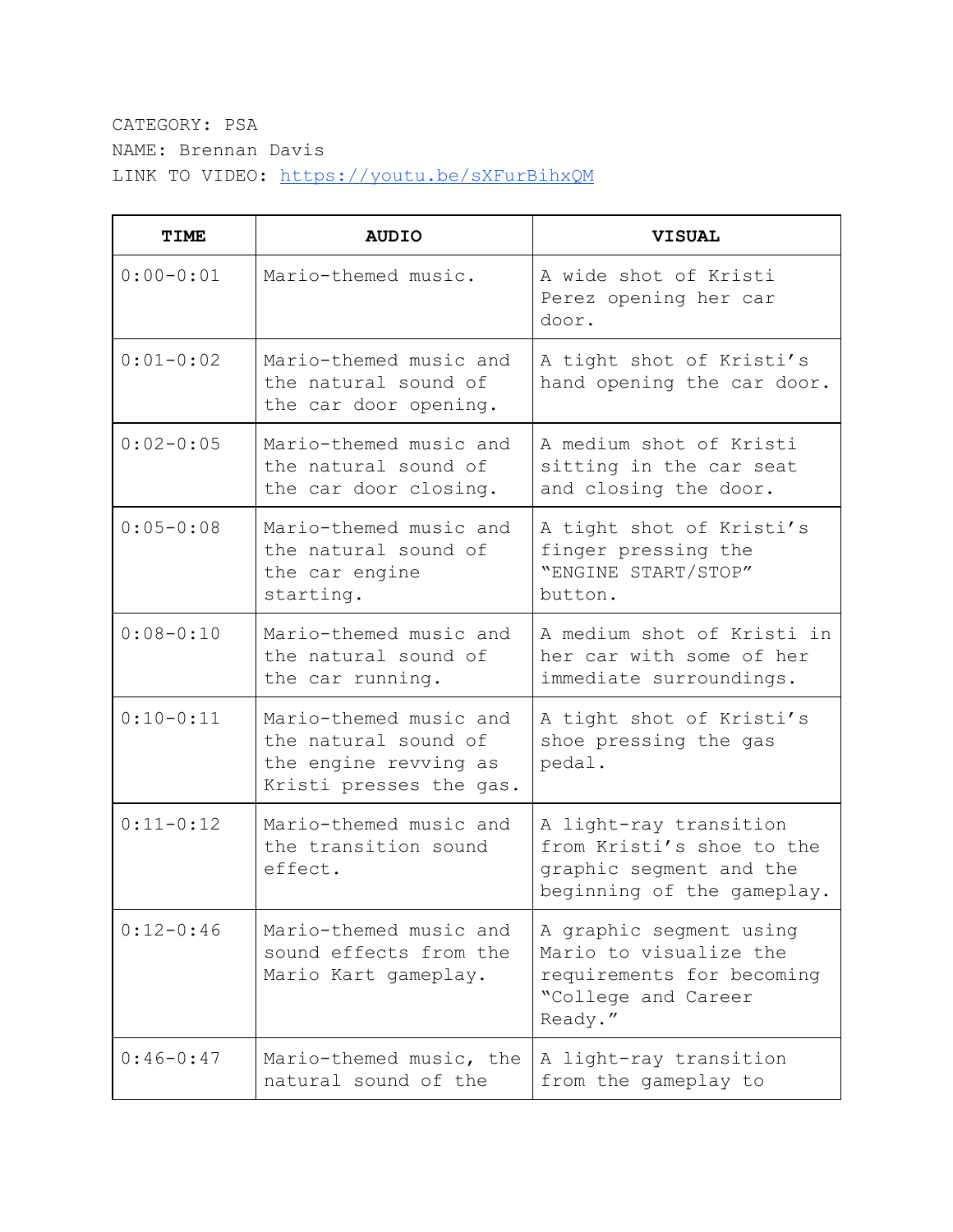## CATEGORY: PSA NAME: Brennan Davis LINK TO VIDEO: <https://youtu.be/sXFurBihxQM>

| <b>TIME</b>   | <b>AUDIO</b>                                                                                       | <b>VISUAL</b>                                                                                                    |
|---------------|----------------------------------------------------------------------------------------------------|------------------------------------------------------------------------------------------------------------------|
| $0:00 - 0:01$ | Mario-themed music.                                                                                | A wide shot of Kristi<br>Perez opening her car<br>door.                                                          |
| $0:01 - 0:02$ | Mario-themed music and<br>the natural sound of<br>the car door opening.                            | A tight shot of Kristi's<br>hand opening the car door.                                                           |
| $0:02-0:05$   | Mario-themed music and<br>the natural sound of<br>the car door closing.                            | A medium shot of Kristi<br>sitting in the car seat<br>and closing the door.                                      |
| $0:05 - 0:08$ | Mario-themed music and<br>the natural sound of<br>the car engine<br>starting.                      | A tight shot of Kristi's<br>finger pressing the<br>"ENGINE START/STOP"<br>button.                                |
| $0:08 - 0:10$ | Mario-themed music and<br>the natural sound of<br>the car running.                                 | A medium shot of Kristi in<br>her car with some of her<br>immediate surroundings.                                |
| $0:10-0:11$   | Mario-themed music and<br>the natural sound of<br>the engine revving as<br>Kristi presses the gas. | A tight shot of Kristi's<br>shoe pressing the gas<br>pedal.                                                      |
| $0:11-0:12$   | Mario-themed music and<br>the transition sound<br>effect.                                          | A light-ray transition<br>from Kristi's shoe to the<br>graphic segment and the<br>beginning of the gameplay.     |
| $0:12-0:46$   | Mario-themed music and<br>sound effects from the<br>Mario Kart gameplay.                           | A graphic segment using<br>Mario to visualize the<br>requirements for becoming<br>"College and Career<br>Ready." |
| $0:46-0:47$   | Mario-themed music, the<br>natural sound of the                                                    | A light-ray transition<br>from the gameplay to                                                                   |